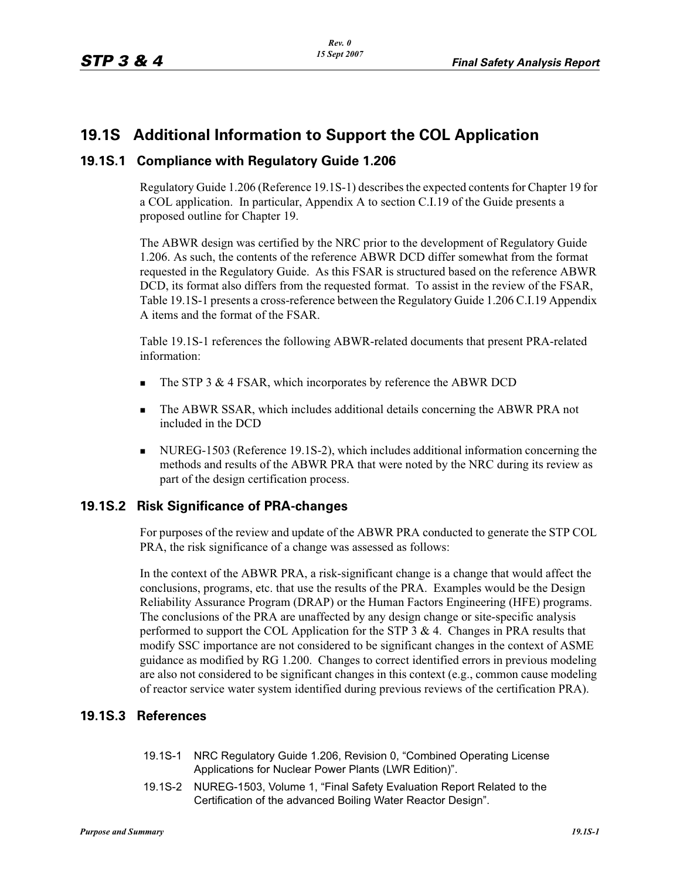## **19.1S Additional Information to Support the COL Application**

### **19.1S.1 Compliance with Regulatory Guide 1.206**

Regulatory Guide 1.206 (Reference 19.1S-1) describes the expected contents for Chapter 19 for a COL application. In particular, Appendix A to section C.I.19 of the Guide presents a proposed outline for Chapter 19.

The ABWR design was certified by the NRC prior to the development of Regulatory Guide 1.206. As such, the contents of the reference ABWR DCD differ somewhat from the format requested in the Regulatory Guide. As this FSAR is structured based on the reference ABWR DCD, its format also differs from the requested format. To assist in the review of the FSAR, Table 19.1S-1 presents a cross-reference between the Regulatory Guide 1.206 C.I.19 Appendix A items and the format of the FSAR.

Table 19.1S-1 references the following ABWR-related documents that present PRA-related information:

- -The STP 3 & 4 FSAR, which incorporates by reference the ABWR DCD
- - The ABWR SSAR, which includes additional details concerning the ABWR PRA not included in the DCD
- NUREG-1503 (Reference 19.1S-2), which includes additional information concerning the methods and results of the ABWR PRA that were noted by the NRC during its review as part of the design certification process.

### **19.1S.2 Risk Significance of PRA-changes**

For purposes of the review and update of the ABWR PRA conducted to generate the STP COL PRA, the risk significance of a change was assessed as follows:

In the context of the ABWR PRA, a risk-significant change is a change that would affect the conclusions, programs, etc. that use the results of the PRA. Examples would be the Design Reliability Assurance Program (DRAP) or the Human Factors Engineering (HFE) programs. The conclusions of the PRA are unaffected by any design change or site-specific analysis performed to support the COL Application for the STP  $3 \& 4$ . Changes in PRA results that modify SSC importance are not considered to be significant changes in the context of ASME guidance as modified by RG 1.200. Changes to correct identified errors in previous modeling are also not considered to be significant changes in this context (e.g., common cause modeling of reactor service water system identified during previous reviews of the certification PRA).

### **19.1S.3 References**

- 19.1S-1 NRC Regulatory Guide 1.206, Revision 0, "Combined Operating License Applications for Nuclear Power Plants (LWR Edition)".
- 19.1S-2 NUREG-1503, Volume 1, "Final Safety Evaluation Report Related to the Certification of the advanced Boiling Water Reactor Design".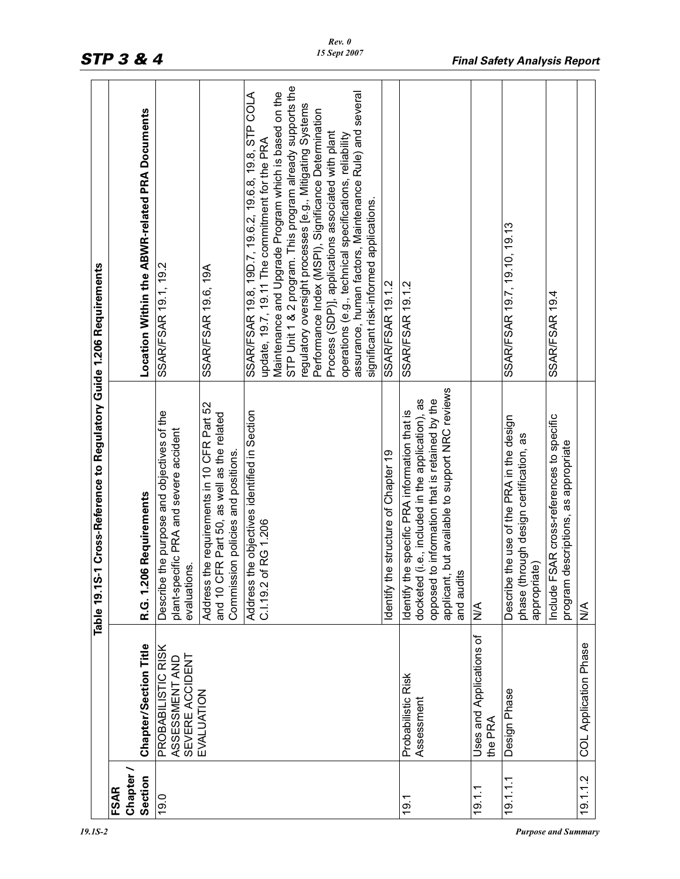|                          |                                                         | 1 Cross-Reference to Regulatory Guide 1.206 Requirements<br>Table 19.1S-                                                                                                                                                   |                                                                                                                                                                       |
|--------------------------|---------------------------------------------------------|----------------------------------------------------------------------------------------------------------------------------------------------------------------------------------------------------------------------------|-----------------------------------------------------------------------------------------------------------------------------------------------------------------------|
| Chapter /<br><b>FSAR</b> |                                                         |                                                                                                                                                                                                                            |                                                                                                                                                                       |
| Section                  | Chapter/Section Title                                   | <b>S Requirements</b><br>R.G. 1.20                                                                                                                                                                                         | Location Within the ABWR-related PRA Documents                                                                                                                        |
| 19.0                     | PROBABILISTIC RISK<br>SEVERE ACCIDENT<br>ASSESSMENT AND | the purpose and objectives of the<br>plant-specific PRA and severe accident<br>evaluations.<br>Describe                                                                                                                    | SSAR/FSAR 19.1, 19.2                                                                                                                                                  |
|                          | EVALUATION                                              | Address the requirements in 10 CFR Part 52<br>and 10 CFR Part 50, as well as the related<br>Commission policies and positions.                                                                                             | SSAR/FSAR 19.6, 19A                                                                                                                                                   |
|                          |                                                         | Address the objectives identified in Section<br>C.I.19.2 of RG 1.206                                                                                                                                                       | SSAR/FSAR 19.8, 19D.7, 19.6.2, 19.6.8, 19.8, STP COLA<br>Maintenance and Upgrade Program which is based on the<br>update, 19.7, 19.11 The commitment for the PRA      |
|                          |                                                         |                                                                                                                                                                                                                            | STP Unit 1 & 2 program. This program already supports the<br>regulatory oversight processes [e.g., Mitigating Systems                                                 |
|                          |                                                         |                                                                                                                                                                                                                            | Performance Index (MSPI), Significance Determination<br>Process (SDP)], applications associated with plant<br>operations (e.g., technical specifications, reliability |
|                          |                                                         |                                                                                                                                                                                                                            | assurance, human factors, Maintenance Rule) and several<br>significant risk-informed applications.                                                                    |
|                          |                                                         | dentify the structure of Chapter 19                                                                                                                                                                                        | <b>SSAR/FSAR 19.1.2</b>                                                                                                                                               |
| 19.1                     | Probabilistic Risk<br>Assessment                        | but available to support NRC reviews<br>opposed to information that is retained by the<br>(i.e., included in the application), as<br>Identify the specific PRA information that is<br>and audits<br>applicant,<br>docketed | SSAR/FSAR 19.1.2                                                                                                                                                      |
| 19.1.1                   | Uses and Applications of<br>the PRA                     | $\frac{4}{2}$                                                                                                                                                                                                              |                                                                                                                                                                       |
| 19.1.1.1                 | Design Phase                                            | the use of the PRA in the design<br>phase (through design certification, as<br>appropriate)<br>Describe                                                                                                                    | SSAR/FSAR 19.7, 19.10, 19.13                                                                                                                                          |
|                          |                                                         | Include FSAR cross-references to specific<br>escriptions, as appropriate<br>program d                                                                                                                                      | SSAR/FSAR 19.4                                                                                                                                                        |
| 19.1.1.2                 | <b>COL Application Phase</b>                            | $\frac{1}{2}$                                                                                                                                                                                                              |                                                                                                                                                                       |

# *STP 3 & 4 Final Safety Analysis Report*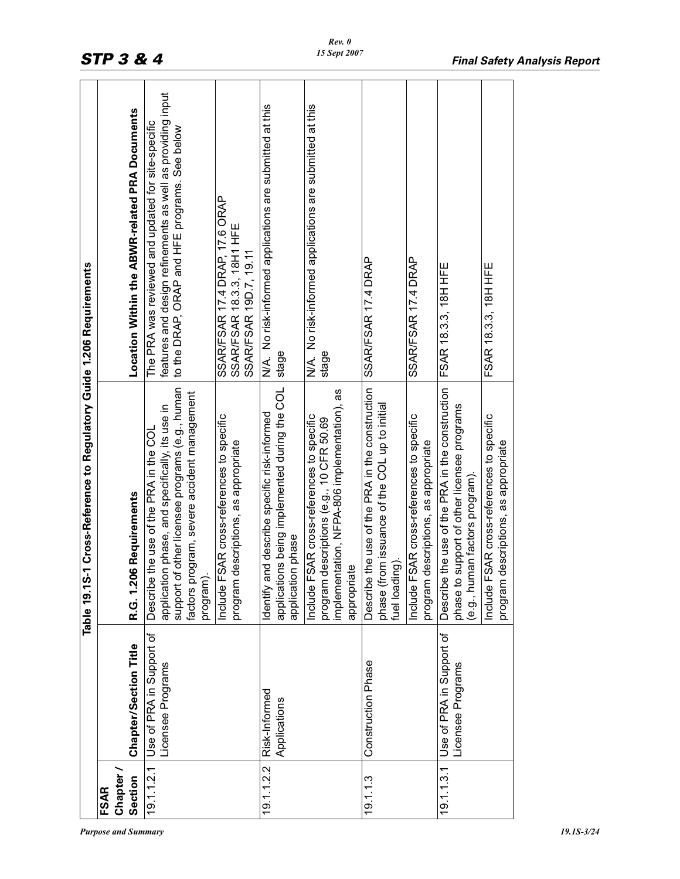|             |                                               | Table 19.1S-1 Cross-Reference to Regulatory Guide 1.206 Requirements                                                                                                                                       |                                                                                                                                                                   |
|-------------|-----------------------------------------------|------------------------------------------------------------------------------------------------------------------------------------------------------------------------------------------------------------|-------------------------------------------------------------------------------------------------------------------------------------------------------------------|
| <b>FSAR</b> |                                               |                                                                                                                                                                                                            |                                                                                                                                                                   |
| Chapter     |                                               |                                                                                                                                                                                                            |                                                                                                                                                                   |
| Section     | <b>Chapter/Section Title</b>                  | <b>6 Requirements</b><br>R.G. 1.20                                                                                                                                                                         | Location Within the ABWR-related PRA Documents                                                                                                                    |
| 19.1.1.2.1  | Use of PRA in Support of<br>Licensee Programs | support of other licensee programs (e.g., human<br>factors program, severe accident management<br>application phase, and specifically, its use in<br>the use of the PRA in the COL<br>Describe<br>program) | features and design refinements as well as providing input<br>The PRA was reviewed and updated for site-specific<br>to the DRAP, ORAP and HFE programs. See below |
|             |                                               | Include FSAR cross-references to specific<br>descriptions, as appropriate<br>program                                                                                                                       | SSAR/FSAR 17.4 DRAP, 17.6 ORAP<br>SSAR/FSAR 18.3.3, 18H1 HFE<br>SSAR/FSAR 19D.7, 19.11                                                                            |
| 19.1.1.2.2  | Risk-Informed<br>Applications                 | applications being implemented during the COL<br>Identify and describe specific risk-informed<br>application phase                                                                                         | N/A. No risk-informed applications are submitted at this<br>stage                                                                                                 |
|             |                                               | implementation, NFPA-806 implementation), as<br>Include FSAR cross-references to specific<br>descriptions (e.g., 10 CFR 50.69<br>appropriate<br>program                                                    | N/A. No risk-informed applications are submitted at this<br>stage                                                                                                 |
| 19.1.1.3    | Construction Phase                            | the use of the PRA in the construction<br>phase (from issuance of the COL up to initial<br>fuel loading).<br>Describe                                                                                      | SSAR/FSAR 17.4 DRAP                                                                                                                                               |
|             |                                               | Include FSAR cross-references to specific<br>descriptions, as appropriate<br>program                                                                                                                       | SSAR/FSAR 17.4 DRAP                                                                                                                                               |
| 19.1.1.3.1  | Use of PRA in Support of<br>Licensee Programs | Describe the use of the PRA in the construction<br>phase to support of other licensee programs<br>(e.g., human factors program).                                                                           | FSAR 18.3.3, 18H HFE                                                                                                                                              |
|             |                                               | Include FSAR cross-references to specific<br>descriptions, as appropriate<br>program                                                                                                                       | FSAR 18.3.3, 18H HFE                                                                                                                                              |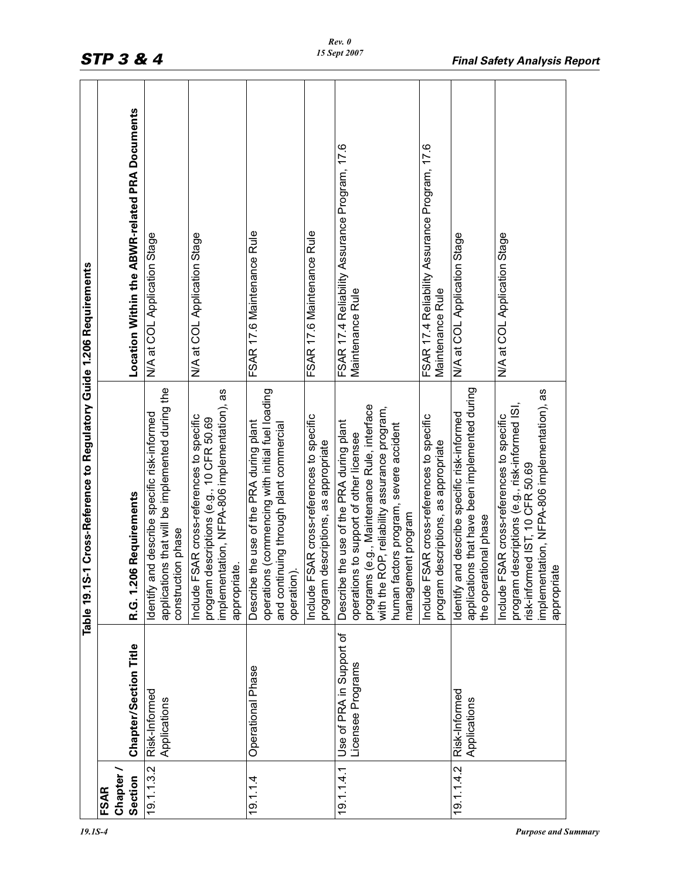|                      |                                               | 1 Cross-Reference to Regulatory Guide 1.206 Requirements<br>Table 19.1S-                                                                                                                                                                              |                                                                   |
|----------------------|-----------------------------------------------|-------------------------------------------------------------------------------------------------------------------------------------------------------------------------------------------------------------------------------------------------------|-------------------------------------------------------------------|
| <b>FSAR</b>          |                                               |                                                                                                                                                                                                                                                       |                                                                   |
| Chapter /<br>Section | Chapter/Section Title                         | <b>6 Requirements</b><br>R.G. 1.20                                                                                                                                                                                                                    | Location Within the ABWR-related PRA Documents                    |
|                      |                                               |                                                                                                                                                                                                                                                       |                                                                   |
| 19.1.1.3.2           | Risk-Informed<br>Applications                 | applications that will be implemented during the<br>nd describe specific risk-informed<br>construction phase<br>Identify ar                                                                                                                           | N/A at COL Application Stage                                      |
|                      |                                               | implementation, NFPA-806 implementation), as<br>Include FSAR cross-references to specific<br>lescriptions (e.g., 10 CFR 50.69<br>appropriate.<br>program d                                                                                            | N/A at COL Application Stage                                      |
| 19.1.14              | Operational Phase                             | operations (commencing with initial fuel loading<br>the use of the PRA during plant<br>and continuing through plant commercial<br>operation)<br>Describe                                                                                              | FSAR 17.6 Maintenance Rule                                        |
|                      |                                               | Include FSAR cross-references to specific<br>program descriptions, as appropriate                                                                                                                                                                     | FSAR 17.6 Maintenance Rule                                        |
| 19.1.1.4.1           | Use of PRA in Support of<br>Licensee Programs | programs (e.g., Maintenance Rule, interface<br>with the ROP, reliability assurance program,<br>the use of the PRA during plant<br>human factors program, severe accident<br>operations to support of other licensee<br>management program<br>Describe | FSAR 17.4 Reliability Assurance Program, 17.6<br>Maintenance Rule |
|                      |                                               | Include FSAR cross-references to specific<br>lescriptions, as appropriate<br>program d                                                                                                                                                                | FSAR 17.4 Reliability Assurance Program, 17.6<br>Maintenance Rule |
| 19.1.1.4.2           | Risk-Informed<br>Applications                 | applications that have been implemented during<br>nd describe specific risk-informed<br>tional phase<br>the operat<br>Identify ar                                                                                                                     | N/A at COL Application Stage                                      |
|                      |                                               | implementation, NFPA-806 implementation), as<br>lescriptions (e.g., risk-informed ISI,<br>Include FSAR cross-references to specific<br>risk-informed IST, 10 CFR 50.69<br>$\mathbf{Q}$<br>program d<br>appropriat                                     | N/A at COL Application Stage                                      |
|                      |                                               |                                                                                                                                                                                                                                                       |                                                                   |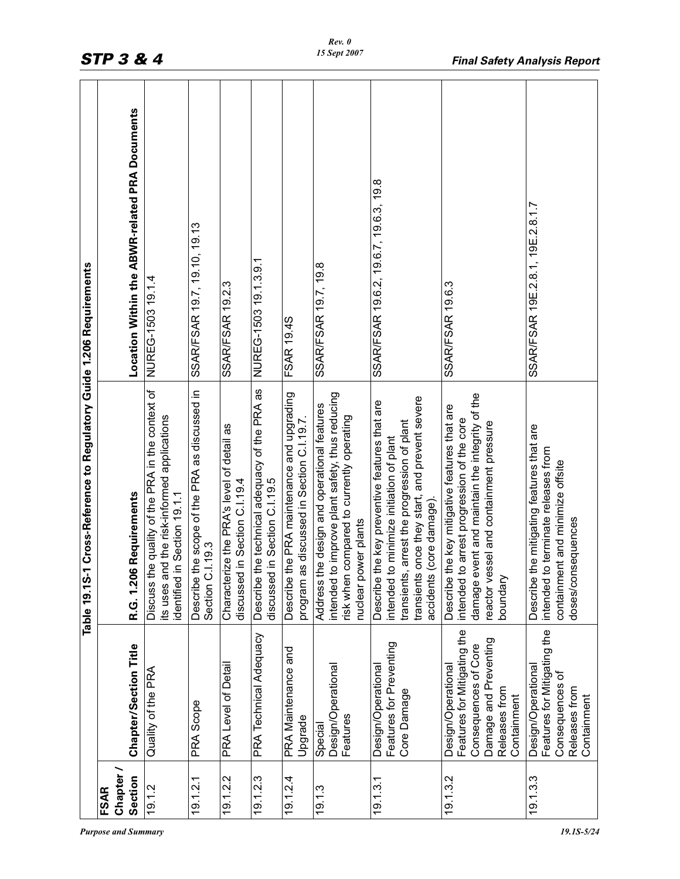| 1 Cross-Reference to Regulatory Guide 1.206 Requirements |                          | Location Within the ABWR-related PRA Documents | NUREG-1503 19.1.4<br>Discuss the quality of the PRA in the context of          | SSAR/FSAR 19.7, 19.10, 19.13<br>Describe the scope of the PRA as discussed in<br>Section C.I.19.3 | <b>SSAR/FSAR 19.2.3</b>                                                    | NUREG-1503 19.1.3.9.1<br>the technical adequacy of the PRA as | FSAR 19.4S<br>the PRA maintenance and upgrading       | SSAR/FSAR 19.7, 19.8<br>to improve plant safety, thus reducing<br>he design and operational features | SSAR/FSAR 19.6.2, 19.6.7, 19.6.3, 19.8<br>once they start, and prevent severe<br>the key preventive features that are<br>to minimize initiation of plant | SSAR/FSAR 19.6.3<br>damage event and maintain the integrity of the<br>the key mitigative features that are<br>to arrest progression of the core | SSAR/FSAR 19E.2.8.1, 19E.2.8.1.7<br>the mitigating features that are<br>to terminate releases from   |
|----------------------------------------------------------|--------------------------|------------------------------------------------|--------------------------------------------------------------------------------|---------------------------------------------------------------------------------------------------|----------------------------------------------------------------------------|---------------------------------------------------------------|-------------------------------------------------------|------------------------------------------------------------------------------------------------------|----------------------------------------------------------------------------------------------------------------------------------------------------------|-------------------------------------------------------------------------------------------------------------------------------------------------|------------------------------------------------------------------------------------------------------|
| Table 19.1S                                              |                          | R.G. 1.206 Requirements                        | its uses and the risk-informed applications<br>in Section 19.1.1<br>identified |                                                                                                   | Characterize the PRA's level of detail as<br>discussed in Section C.I.19.4 | discussed in Section C.I.19.5<br>Describe                     | program as discussed in Section C.I.19.7.<br>Describe | risk when compared to currently operating<br>nuclear power plants<br>intended<br>Address             | transients, arrest the progression of plant<br>accidents (core damage)<br>transients<br>intended<br><b>Describe</b>                                      | reactor vessel and containment pressure<br>boundary<br>Describe<br>intended                                                                     | containment and minimize offsite<br>doses/consequences<br>intended<br><b>Describe</b>                |
|                                                          |                          | <b>Chapter/Section Title</b>                   | Quality of the PRA                                                             | PRA Scope                                                                                         | PRA Level of Detail                                                        | PRA Technical Adequacy                                        | PRA Maintenance and<br>Upgrade                        | Design/Operational<br>Features<br>Special                                                            | Features for Preventing<br>Design/Operational<br>Core Damage                                                                                             | Features for Mitigating the<br>Damage and Preventing<br>Consequences of Core<br>Design/Operational<br>Releases from<br>Containment              | Features for Mitigating the<br>Design/Operational<br>Consequences of<br>Releases from<br>Containment |
|                                                          | Chapter /<br><b>FSAR</b> | Section                                        | 19.1.2                                                                         | 19.1.2.1                                                                                          | 19.1.2.2                                                                   | 19.1.2.3                                                      | 19.1.24                                               | 19.1.3                                                                                               | 19.1.3.1                                                                                                                                                 | 19.1.3.2                                                                                                                                        | 19.1.3.3                                                                                             |

*Purpose and Summary 19.1S-5/24*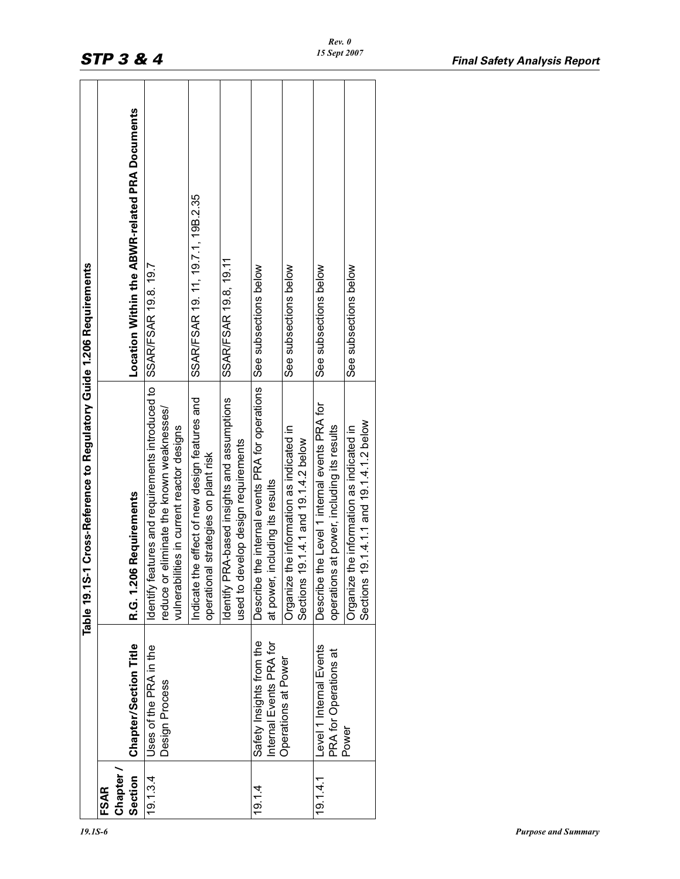|                        |                                                     | Table 19.1S-1 Cross-Reference to Regulatory Guide 1.206 Requirements                                                                                           |                                                |
|------------------------|-----------------------------------------------------|----------------------------------------------------------------------------------------------------------------------------------------------------------------|------------------------------------------------|
| Chapter<br><b>FSAR</b> |                                                     |                                                                                                                                                                |                                                |
| Section                | Chapter/Section Title                               | R.G. 1.206 Requirements                                                                                                                                        | Location Within the ABWR-related PRA Documents |
| 19.1.3.4               | Uses of the PRA in the<br>Design Process            | dentify features and requirements introduced to SSAR/FSAR 19.8.19.7<br>reduce or eliminate the known weaknesses/<br>vulnerabilities in current reactor designs |                                                |
|                        |                                                     | Indicate the effect of new design features and<br>operational strategies on plant risk                                                                         | SSAR/FSAR 19. 11, 19.7.1, 19B.2.35             |
|                        |                                                     | Identify PRA-based insights and assumptions<br>used to develop design requirements                                                                             | SSAR/FSAR 19.8, 19.11                          |
| 19.14                  | Safety Insights from the<br>Internal Events PRA for | Describe the internal events PRA for operations<br>including its results<br>at power,                                                                          | See subsections below                          |
|                        | Operations at Power                                 | the information as indicated in<br>19.1.4.1 and 19.1.4.2 below<br><b>Organize</b><br>Sections                                                                  | See subsections below                          |
| 19.14.1                | Level 1 Internal Events<br>PRA for Operations at    | Describe the Level 1 internal events PRA for<br>operations at power, including its results                                                                     | See subsections below                          |
|                        | Power                                               | 19.1.4.1.1 and 19.1.4.1.2 below<br>the information as indicated in<br><b>Organize</b><br>Sections                                                              | See subsections below                          |
|                        |                                                     |                                                                                                                                                                |                                                |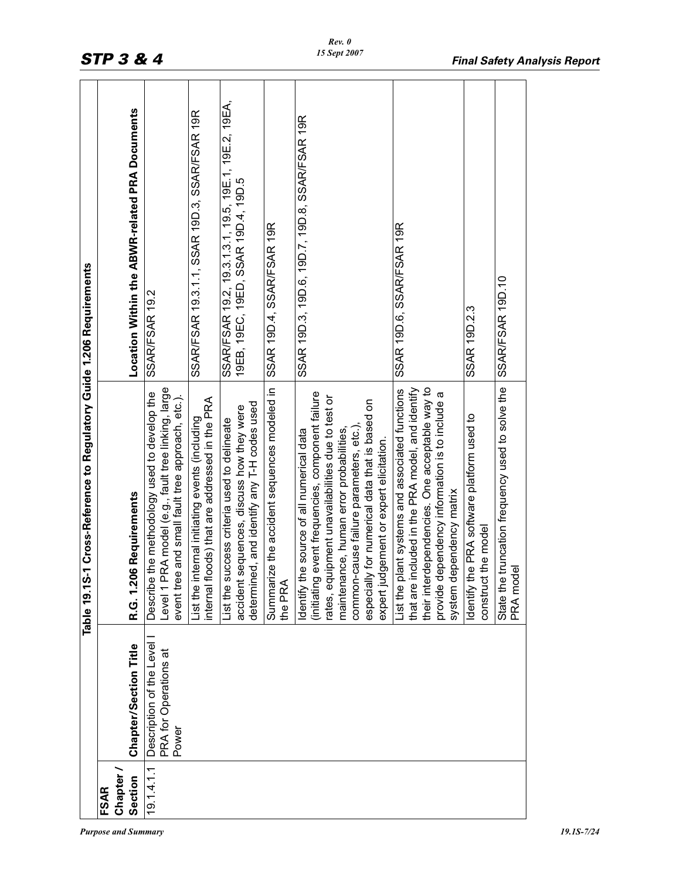| <b>FSAR</b> |                                                            | Table 19.1S-1 Cross-Reference to Regulatory Guide 1.206 Requirements                                                                                                                                                                                                                                                                             |                                                                                              |
|-------------|------------------------------------------------------------|--------------------------------------------------------------------------------------------------------------------------------------------------------------------------------------------------------------------------------------------------------------------------------------------------------------------------------------------------|----------------------------------------------------------------------------------------------|
| Chapter     |                                                            |                                                                                                                                                                                                                                                                                                                                                  |                                                                                              |
| Section     | Chapter/Section Title                                      | <b>06 Requirements</b><br>R.G. 1.20                                                                                                                                                                                                                                                                                                              | Location Within the ABWR-related PRA Documents                                               |
| 19.1.4.1.1  | Description of the Level<br>PRA for Operations at<br>Power | Level 1 PRA model (e.g., fault tree linking, large<br>Describe the methodology used to develop the<br>event tree and small fault tree approach, etc.).                                                                                                                                                                                           | SSAR/FSAR 19.2                                                                               |
|             |                                                            | loods) that are addressed in the PRA<br>nternal initiating events (including<br>List the i<br>internal f                                                                                                                                                                                                                                         | SSAR/FSAR 19.3.1.1, SSAR 19D.3, SSAR/FSAR 19R                                                |
|             |                                                            | determined, and identify any T-H codes used<br>accident sequences, discuss how they were<br>List the success criteria used to delineate                                                                                                                                                                                                          | SSAR/FSAR 19.2, 19.3.1.3.1, 19.5, 19E.1, 19E.2, 19EA,<br>19EB, 19EC, 19ED, SSAR 19D.4, 19D.5 |
|             |                                                            | ize the accident sequences modeled in<br>Summar<br>the PRA                                                                                                                                                                                                                                                                                       | SSAR 19D.4, SSAR/FSAR 19R                                                                    |
|             |                                                            | event frequencies, component failure<br>rates, equipment unavailabilities due to test or<br>ly for numerical data that is based on<br>common-cause failure parameters, etc.),<br>maintenance, human error probabilities,<br>Identify the source of all numerical data<br>dgement or expert elicitation.<br>(initiating<br>expert juc<br>especial | SSAR 19D.3, 19D.6, 19D.7, 19D.8, SSAR/FSAR 19R                                               |
|             |                                                            | their interdependencies. One acceptable way to<br>ncluded in the PRA model, and identify<br>List the plant systems and associated functions<br>lependency information is to include a<br>ependency matrix<br>provide d<br>system d<br>that are i                                                                                                 | SSAR 19D.6, SSAR/FSAR 19R                                                                    |
|             |                                                            | Identify the PRA software platform used to<br>t the model<br>construct                                                                                                                                                                                                                                                                           | <b>SSAR 19D.2.3</b>                                                                          |
|             |                                                            | State the truncation frequency used to solve the<br>공<br>PRA mor                                                                                                                                                                                                                                                                                 | SSAR/FSAR 19D.10                                                                             |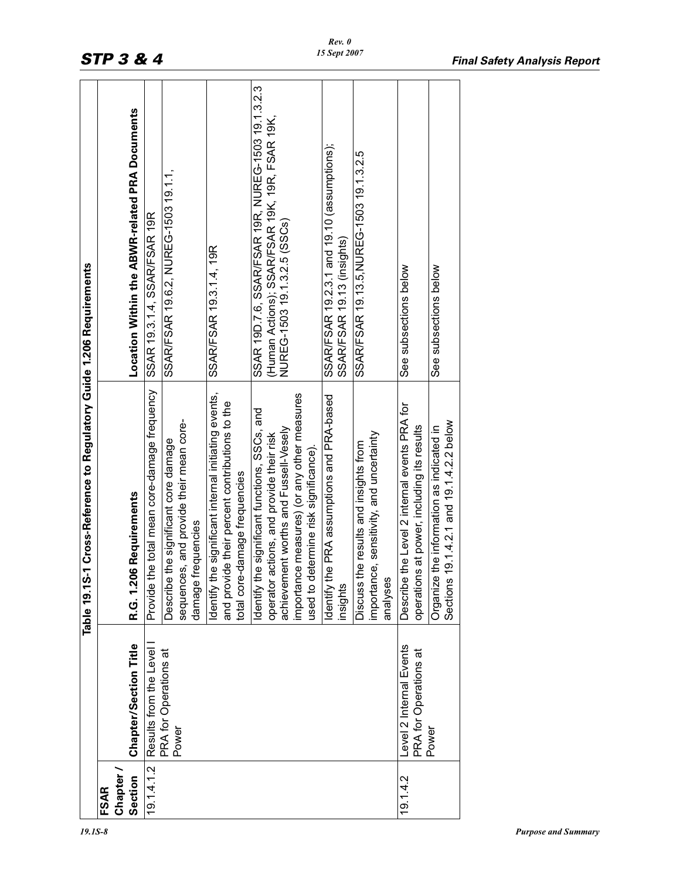|                            |                                                  | Table 19.1S-1 Cross-Reference to Regulatory Guide 1.206 Requirements                                                                    |                                                                                |
|----------------------------|--------------------------------------------------|-----------------------------------------------------------------------------------------------------------------------------------------|--------------------------------------------------------------------------------|
| Chapter<br>Section<br>FSAR | Chapter/Section Title                            | <b>6 Requirements</b><br>R.G. 1.20                                                                                                      | Location Within the ABWR-related PRA Documents                                 |
| 19.14.1.2                  | Results from the Level                           | Provide the total mean core-damage frequency                                                                                            | SSAR 19.3.1.4, SSAR/FSAR 19R                                                   |
|                            | PRA for Operations at<br>Power                   | sequences, and provide their mean core-<br>Describe the significant core damage<br>frequencies<br>damage                                | SSAR/FSAR 19.6.2, NUREG-1503 19.1.1,                                           |
|                            |                                                  | Identify the significant internal initiating events,<br>and provide their percent contributions to the<br>total core-damage frequencies | SSAR/FSAR 19.3.1.4, 19R                                                        |
|                            |                                                  | Identify the significant functions, SSCs, and                                                                                           | SSAR 19D.7.6, SSAR/FSAR 19R, NUREG-1503 19.1.3.2.3                             |
|                            |                                                  | achievement worths and Fussell-Vesely<br>operator actions, and provide their risk                                                       | (Human Actions); SSAR/FSAR 19K, 19R, FSAR 19K,<br>NUREG-1503 19.1.3.2.5 (SSCs) |
|                            |                                                  | importance measures) (or any other measures<br>used to determine risk significance).                                                    |                                                                                |
|                            |                                                  | Identify the PRA assumptions and PRA-based<br>insights                                                                                  | SSAR/FSAR 19.2.3.1 and 19.10 (assumptions);<br>SSAR/FSAR 19.13 (insights)      |
|                            |                                                  | importance, sensitivity, and uncertainty<br>the results and insights from<br>analyses<br>Discuss <sub>1</sub>                           | SSAR/FSAR 19.13.5, NUREG-1503 19.1.3.2.5                                       |
| 19.1.4.2                   | Level 2 Internal Events<br>PRA for Operations at | Describe the Level 2 internal events PRA for<br>operations at power, including its results                                              | See subsections below                                                          |
|                            | Power                                            | 19.1.4.2.1 and 19.1.4.2.2 below<br>Organize the information as indicated in<br>Sections                                                 | See subsections below                                                          |
|                            |                                                  |                                                                                                                                         |                                                                                |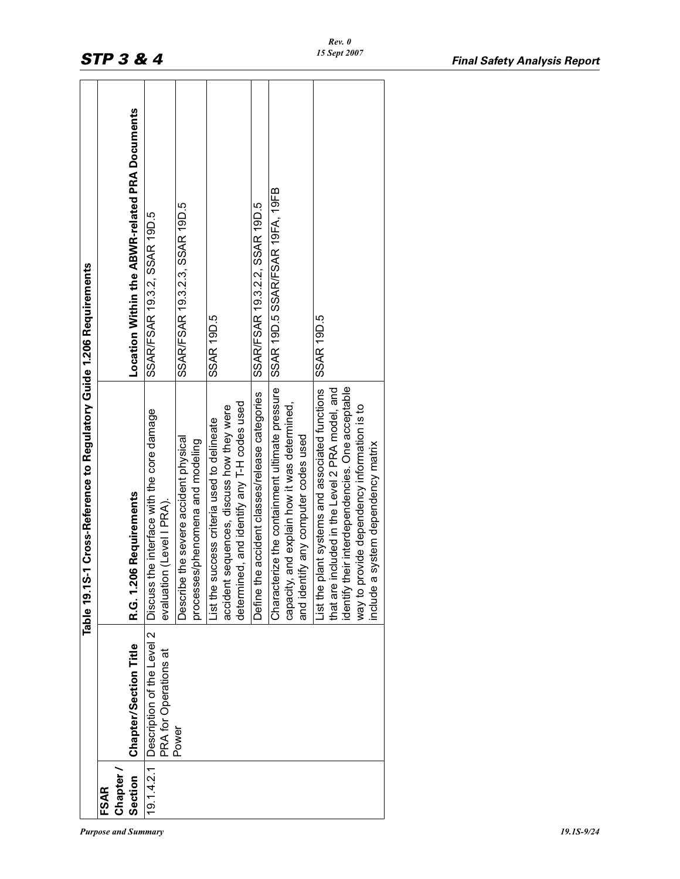|                                                                      |                 | Location Within the ABWR-related PRA Documents | SSAR/FSAR 19.3.2, SSAR 19D.5                                            | SSAR/FSAR 19.3.2.3, SSAR 19D.5                                               | SSAR 19D.5                                                                                                                              | SSAR/FSAR 19.3.2.2, SSAR 19D.5                 | SSAR 19D.5 SSAR/FSAR 19FA, 19FB                                                                                                        | SSAR 19D.5                                                                                                                                                                                                                                 |
|----------------------------------------------------------------------|-----------------|------------------------------------------------|-------------------------------------------------------------------------|------------------------------------------------------------------------------|-----------------------------------------------------------------------------------------------------------------------------------------|------------------------------------------------|----------------------------------------------------------------------------------------------------------------------------------------|--------------------------------------------------------------------------------------------------------------------------------------------------------------------------------------------------------------------------------------------|
| Table 19.1S-1 Cross-Reference to Regulatory Guide 1.206 Requirements |                 | R.G. 1.206 Requirements                        | Discuss the interface with the core damage<br>evaluation (Level I PRA). | the severe accident physical<br>processes/phenomena and modeling<br>Describe | determined, and identify any T-H codes used<br>accident sequences, discuss how they were<br>List the success criteria used to delineate | Define the accident classes/release categories | Characterize the containment ultimate pressure<br>capacity, and explain how it was determined,<br>and identify any computer codes used | identify their interdependencies. One acceptable<br>List the plant systems and associated functions<br>that are included in the Level 2 PRA model, and<br>way to provide dependency information is to<br>nclude a system dependency matrix |
|                                                                      |                 | Chapter/Section Title                          | 19.1.4.2.1 Description of the Level 2<br>PRA for Operations at          | Power                                                                        |                                                                                                                                         |                                                |                                                                                                                                        |                                                                                                                                                                                                                                            |
|                                                                      | Chapter<br>FSAR | Section                                        |                                                                         |                                                                              |                                                                                                                                         |                                                |                                                                                                                                        |                                                                                                                                                                                                                                            |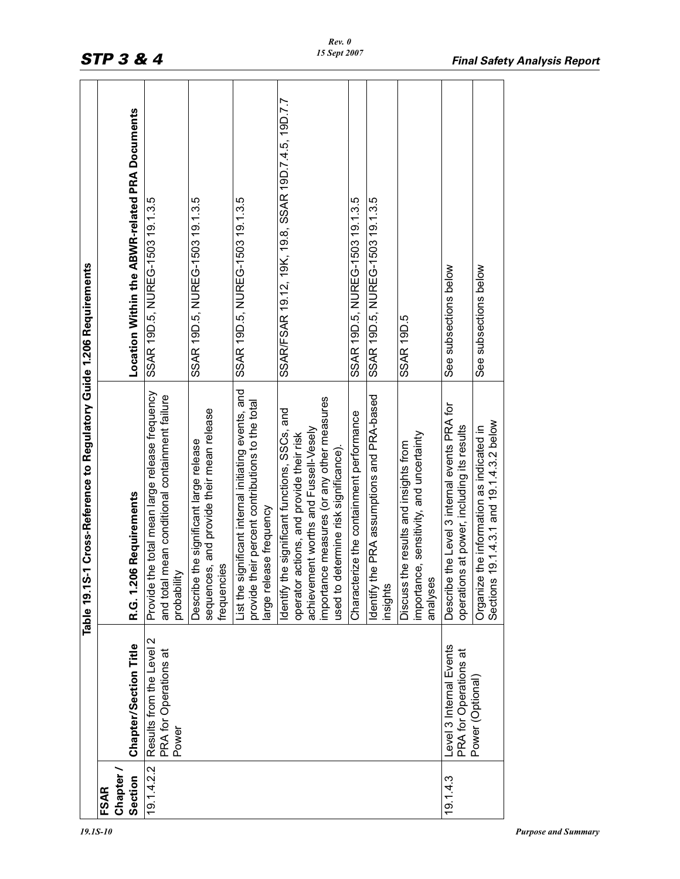|             |                                                            | 1 Cross-Reference to Regulatory Guide 1.206 Requirements<br>Table 19.1S-                                                                                                                                                  |                                                     |
|-------------|------------------------------------------------------------|---------------------------------------------------------------------------------------------------------------------------------------------------------------------------------------------------------------------------|-----------------------------------------------------|
| <b>FSAR</b> |                                                            |                                                                                                                                                                                                                           |                                                     |
| Chapter     |                                                            |                                                                                                                                                                                                                           |                                                     |
| Section     | Chapter/Section Title                                      | R.G. 1.206 Requirements                                                                                                                                                                                                   | Location Within the ABWR-related PRA Documents      |
| 19.1.4.2.2  | Results from the Level 2<br>PRA for Operations at<br>Power | e total mean large release frequency<br>and total mean conditional containment failure<br>Provide th<br>probability                                                                                                       | SSAR 19D.5, NUREG-1503 19.1.3.5                     |
|             |                                                            | sequences, and provide their mean release<br>the significant large release<br>frequencies<br>Describe                                                                                                                     | SSAR 19D.5, NUREG-1503 19.1.3.5                     |
|             |                                                            | List the significant internal initiating events, and<br>provide their percent contributions to the total<br>large release frequency                                                                                       | SSAR 19D.5, NUREG-1503 19.1.3.5                     |
|             |                                                            | importance measures (or any other measures<br>Identify the significant functions, SSCs, and<br>achievement worths and Fussell-Vesely<br>operator actions, and provide their risk<br>used to determine risk significance). | SSAR/FSAR 19.12, 19K, 19.8, SSAR 19D.7.4.5, 19D.7.7 |
|             |                                                            | Characterize the containment performance                                                                                                                                                                                  | SSAR 19D.5, NUREG-1503 19.1.3.5                     |
|             |                                                            | Identify the PRA assumptions and PRA-based<br>insights                                                                                                                                                                    | SSAR 19D.5, NUREG-1503 19.1.3.5                     |
|             |                                                            | importance, sensitivity, and uncertainty<br>Discuss the results and insights from<br>analyses                                                                                                                             | SSAR 19D.5                                          |
| 19.14.3     | Level 3 Internal Events<br>PRA for Operations at           | the Level 3 internal events PRA for<br>operations at power, including its results<br>Describe                                                                                                                             | See subsections below                               |
|             | Power (Optional)                                           | 9.1.4.3.1 and 19.1.4.3.2 below<br>the information as indicated in<br>Organize<br>Sections                                                                                                                                 | See subsections below                               |
|             |                                                            |                                                                                                                                                                                                                           |                                                     |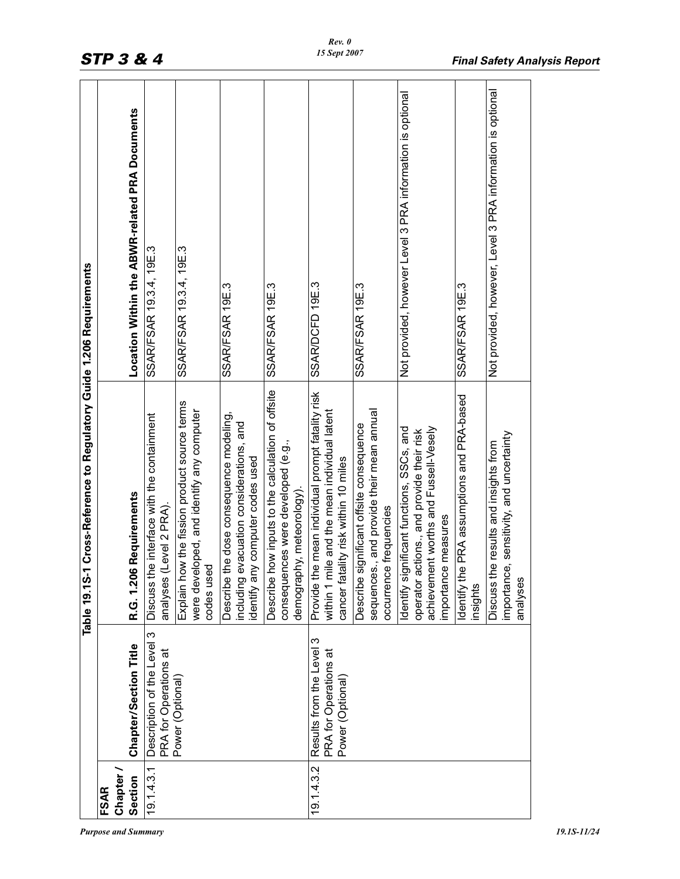|                    |                                                                          | Cross-Reference to Regulatory Guide 1.206 Requirements<br>Table 19.1S-1                                                                                |                                                            |
|--------------------|--------------------------------------------------------------------------|--------------------------------------------------------------------------------------------------------------------------------------------------------|------------------------------------------------------------|
| <b>FSAR</b>        |                                                                          |                                                                                                                                                        |                                                            |
| Chapter<br>Section | Chapter/Section Title                                                    | R.G. 1.206 Requirements                                                                                                                                | Location Within the ABWR-related PRA Documents             |
| 19.1.4.3.1         | Description of the Level 3<br>PRA for Operations at                      | e interface with the containment<br>Level 2 PRA).<br>Discuss th<br>analyses                                                                            | SSAR/FSAR 19.3.4, 19E.3                                    |
|                    | Power (Optional)                                                         | Explain how the fission product source terms<br>were developed, and identify any computer<br>codes used                                                | SSAR/FSAR 19.3.4, 19E.3                                    |
|                    |                                                                          | Describe the dose consequence modeling,<br>evacuation considerations, and<br>identify any computer codes used<br>including                             | SSAR/FSAR 19E.3                                            |
|                    |                                                                          | now inputs to the calculation of offsite<br>consequences were developed (e.g.,<br>demography, meteorology).<br>Describe                                | SSAR/FSAR 19E.3                                            |
| 19.14.3.2          | က<br>Results from the Level<br>PRA for Operations at<br>Power (Optional) | Provide the mean individual prompt fatality risk<br>within 1 mile and the mean individual latent<br>cancer fatality risk within 10 miles               | SSAR/DCFD 19E.3                                            |
|                    |                                                                          | sequences., and provide their mean annual<br>Describe significant offsite consequence<br>occurrence frequencies                                        | SSAR/FSAR 19E.3                                            |
|                    |                                                                          | achievement worths and Fussell-Vesely<br>Identify significant functions, SSCs, and<br>operator actions., and provide their risk<br>importance measures | Not provided, however Level 3 PRA information is optional  |
|                    |                                                                          | Identify the PRA assumptions and PRA-based<br>insights                                                                                                 | SSAR/FSAR 19E.3                                            |
|                    |                                                                          | importance, sensitivity, and uncertainty<br>Discuss the results and insights from<br>analyses                                                          | Not provided, however, Level 3 PRA information is optional |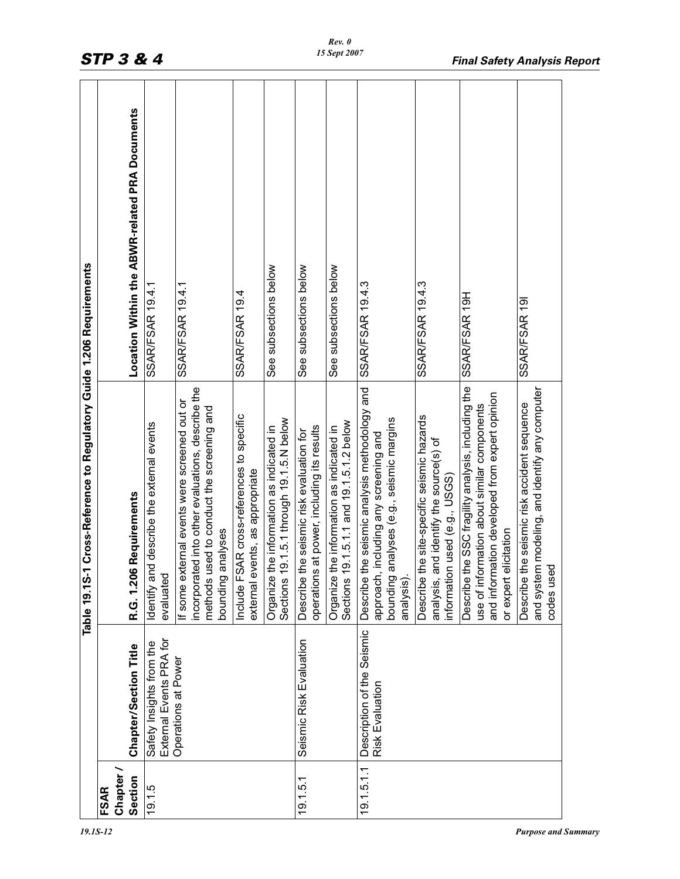|                          |                                                     | <b>Cross-Reference to Regulatory Guide 1.206 Requirements</b><br>Table 19.1S-1                                                                                              |                                                |
|--------------------------|-----------------------------------------------------|-----------------------------------------------------------------------------------------------------------------------------------------------------------------------------|------------------------------------------------|
| Chapter /<br><b>FSAR</b> |                                                     |                                                                                                                                                                             |                                                |
| Section                  | <b>Chapter/Section Title</b>                        | Requirements<br>R.G. 1.206                                                                                                                                                  | Location Within the ABWR-related PRA Documents |
| 19.1.5                   | External Events PRA for<br>Safety Insights from the | Identify and describe the external events<br>evaluated                                                                                                                      | SSAR/FSAR 19.4.1                               |
|                          | Operations at Power                                 | incorporated into other evaluations, describe the<br>If some external events were screened out or<br>methods used to conduct the screening and<br>bounding analyses         | SSAR/FSAR 19.4.1                               |
|                          |                                                     | Include FSAR cross-references to specific<br>external events, as appropriate                                                                                                | SSAR/FSAR 19.4                                 |
|                          |                                                     | 9.1.5.1 through 19.1.5.N below<br>Organize the information as indicated in<br>Sections <sub>1</sub>                                                                         | See subsections below                          |
| 19.1.5.1                 | Seismic Risk Evaluation                             | at power, including its results<br>Describe the seismic risk evaluation for<br>operations                                                                                   | See subsections below                          |
|                          |                                                     | 9.1.5.1.1 and 19.1.5.1.2 below<br>he information as indicated in<br>Sections <sub>1</sub><br>Organize t                                                                     | See subsections below                          |
| 19.1.5.1.1               | Description of the Seismic<br>Risk Evaluation       | Describe the seismic analysis methodology and<br>bounding analyses (e.g., seismic margins<br>including any screening and<br>approach,<br>analysis).                         | <b>SSAR/FSAR 19.4.3</b>                        |
|                          |                                                     | Describe the site-specific seismic hazards<br>analysis, and identify the source(s) of<br>information used (e.g., USG)                                                       | <b>SSAR/FSAR 19.4.3</b>                        |
|                          |                                                     | Describe the SSC fragility analysis, including the<br>and information developed from expert opinion<br>use of information about similar components<br>or expert elicitation | SSAR/FSAR 19H                                  |
|                          |                                                     | and system modeling, and identify any computer<br>Describe the seismic risk accident sequence<br>codes used                                                                 | SSAR/FSAR 191                                  |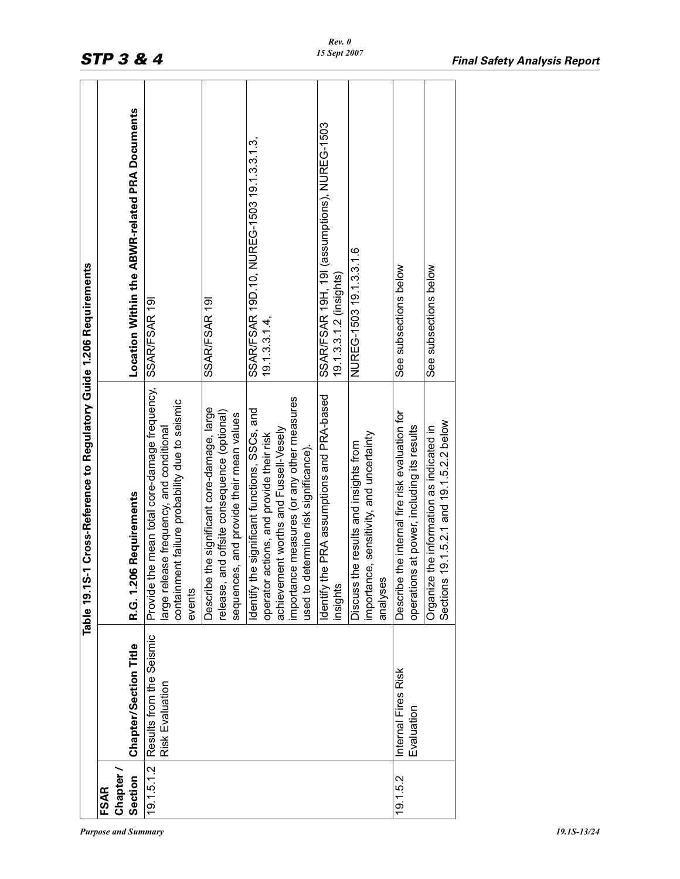|                                                                      | Location Within the ABWR-related PRA Documents | SSAR/FSAR 191<br>SSAR/FSAR 191                                                                                                                                                                                                                                                                              | SSAR/FSAR 19H, 19I (assumptions), NUREG-1503<br>SSAR/FSAR 19D.10, NUREG-1503 19.1.3.3.1.3,<br>$19.1.3.3.1.4$ ,                                                                                                                                                                    | NUREG-1503 19.1.3.3.1.6<br>19.1.3.3.1.2 (insights)                                                                  | See subsections below                                                                                       | See subsections below                                                                   |
|----------------------------------------------------------------------|------------------------------------------------|-------------------------------------------------------------------------------------------------------------------------------------------------------------------------------------------------------------------------------------------------------------------------------------------------------------|-----------------------------------------------------------------------------------------------------------------------------------------------------------------------------------------------------------------------------------------------------------------------------------|---------------------------------------------------------------------------------------------------------------------|-------------------------------------------------------------------------------------------------------------|-----------------------------------------------------------------------------------------|
| Table 19.1S-1 Cross-Reference to Regulatory Guide 1.206 Requirements | <b>6 Requirements</b><br>R.G. 1.20             | the mean total core-damage frequency,<br>ent failure probability due to seismic<br>Describe the significant core-damage, large<br>and offsite consequence (optional)<br>sequences, and provide their mean values<br>large release frequency, and conditional<br>Provide t<br>containm<br>release,<br>events | he PRA assumptions and PRA-based<br>importance measures (or any other measures<br>he significant functions, SSCs, and<br>achievement worths and Fussell-Vesely<br>operator actions, and provide their risk<br>used to determine risk significance).<br>Identify tl<br>Identify tl | importance, sensitivity, and uncertainty<br>the results and insights from<br>analyses<br><b>Discuss</b><br>insights | the internal fire risk evaluation for<br>is at power, including its results<br><b>Describe</b><br>operation | 19.1.5.2.1 and 19.1.5.2.2 below<br>Organize the information as indicated in<br>Sections |
|                                                                      | Chapter/Section Title                          | Results from the Seismic<br>Risk Evaluation                                                                                                                                                                                                                                                                 |                                                                                                                                                                                                                                                                                   |                                                                                                                     | Internal Fires Risk<br>Evaluation                                                                           |                                                                                         |
|                                                                      | Chapter.<br>Section<br>FSAR                    | 19.1.5.1.2                                                                                                                                                                                                                                                                                                  |                                                                                                                                                                                                                                                                                   |                                                                                                                     | 19.1.5.2                                                                                                    |                                                                                         |

*Purpose and Summary 19.1S-13/24*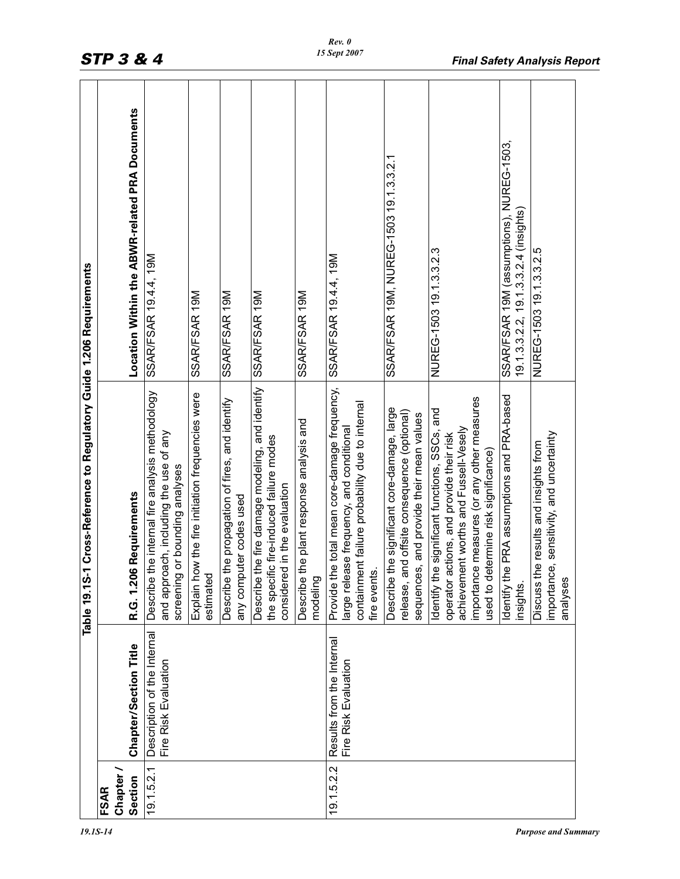|                          |                                                     | 1 Cross-Reference to Regulatory Guide 1.206 Requirements<br>Table 19.1S-                                                                                                                                                 |                                                                                  |
|--------------------------|-----------------------------------------------------|--------------------------------------------------------------------------------------------------------------------------------------------------------------------------------------------------------------------------|----------------------------------------------------------------------------------|
| Chapter /<br><b>FSAR</b> |                                                     |                                                                                                                                                                                                                          |                                                                                  |
| Section                  | Chapter/Section Title                               | <b>6 Requirements</b><br>R.G. 1.20                                                                                                                                                                                       | Location Within the ABWR-related PRA Documents                                   |
| 19.1.5.2.1               | Description of the Internal<br>Fire Risk Evaluation | the internal fire analysis methodology<br>and approach, including the use of any<br>or bounding analyses<br>screening<br>Describe                                                                                        | SSAR/FSAR 19.4.4, 19M                                                            |
|                          |                                                     | ow the fire initiation frequencies were<br>estimated<br>Explain ho                                                                                                                                                       | SSAR/FSAR 19M                                                                    |
|                          |                                                     | the propagation of fires, and identify<br>any computer codes used<br>Describe                                                                                                                                            | SSAR/FSAR 19M                                                                    |
|                          |                                                     | the fire damage modeling, and identify<br>the specific fire-induced failure modes<br>considered in the evaluation<br>Describe                                                                                            | SSAR/FSAR 19M                                                                    |
|                          |                                                     | the plant response analysis and<br>modeling<br>Describe                                                                                                                                                                  | SSAR/FSAR 19M                                                                    |
| 19.1.5.2.2               | Results from the Internal<br>Fire Risk Evaluation   | e total mean core-damage frequency,<br>containment failure probability due to internal<br>large release frequency, and conditional<br>fire events.<br>Provide th                                                         | SSAR/FSAR 19.4.4, 19M                                                            |
|                          |                                                     | the significant core-damage, large<br>release, and offsite consequence (optional)<br>sequences, and provide their mean values<br>Describe                                                                                | SSAR/FSAR 19M, NUREG-1503 19.1.3.3.2.1                                           |
|                          |                                                     | importance measures (or any other measures<br>Identify the significant functions, SSCs, and<br>achievement worths and Fussell-Vesely<br>operator actions, and provide their risk<br>used to determine risk significance) | NUREG-1503 19.1.3.3.2.3                                                          |
|                          |                                                     | Identify the PRA assumptions and PRA-based<br>insights.                                                                                                                                                                  | SSAR/FSAR 19M (assumptions), NUREG-1503<br>19.1.3.3.2.2, 19.1.3.3.2.4 (insights) |
|                          |                                                     | importance, sensitivity, and uncertainty<br>Discuss the results and insights from<br>analyses                                                                                                                            | NUREG-1503 19.1.3.3.2.5                                                          |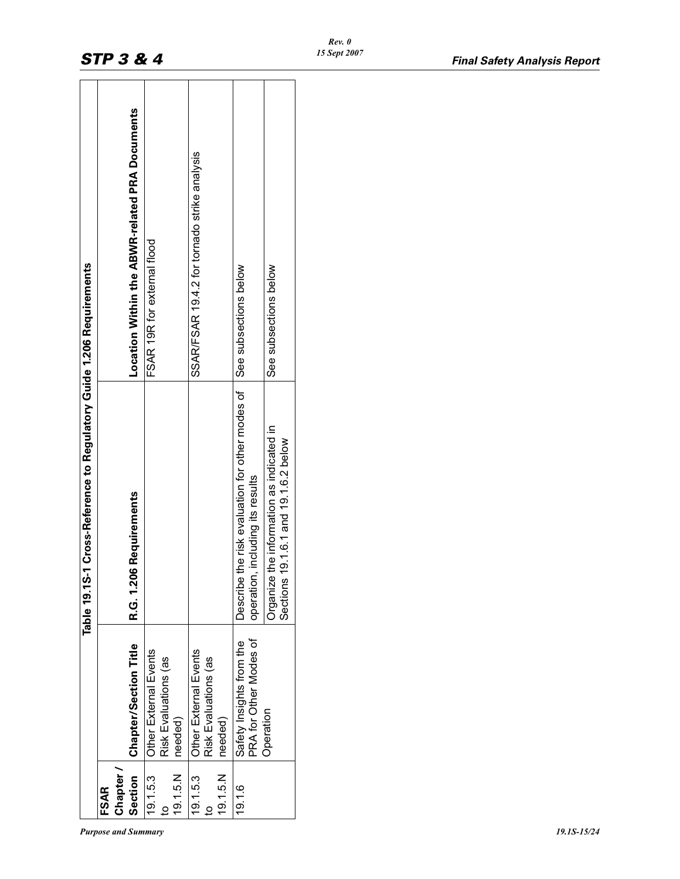| the risk evaluation for other modes of<br><b>6 Requirements</b><br>R.G. 1.206<br>Describe<br>PRA for Other Modes of<br>Safety Insights from the<br><b>Chapter/Section Title</b><br>Other External Events<br>Other External Events<br>Risk Evaluations (as<br>Risk Evaluations (as<br>needed)<br>needed)<br>Section<br>Chapter.<br>19.1.5.N<br>19.1.5.N<br>19.1.5.3<br><b>FSAR</b> |                                                |
|-----------------------------------------------------------------------------------------------------------------------------------------------------------------------------------------------------------------------------------------------------------------------------------------------------------------------------------------------------------------------------------|------------------------------------------------|
| 19.1.5.3<br>19.1.6                                                                                                                                                                                                                                                                                                                                                                | ocation Within the ABWR-related PRA Documents  |
|                                                                                                                                                                                                                                                                                                                                                                                   | FSAR 19R for external flood                    |
|                                                                                                                                                                                                                                                                                                                                                                                   | SSAR/FSAR 19.4.2 for tornado strike analysis   |
| operation,                                                                                                                                                                                                                                                                                                                                                                        | See subsections below<br>including its results |
| the information as indicated in<br>19.1.6.1 and 19.1.6.2 below<br><b>Drganize</b><br>Sections<br>Operation                                                                                                                                                                                                                                                                        | See subsections below                          |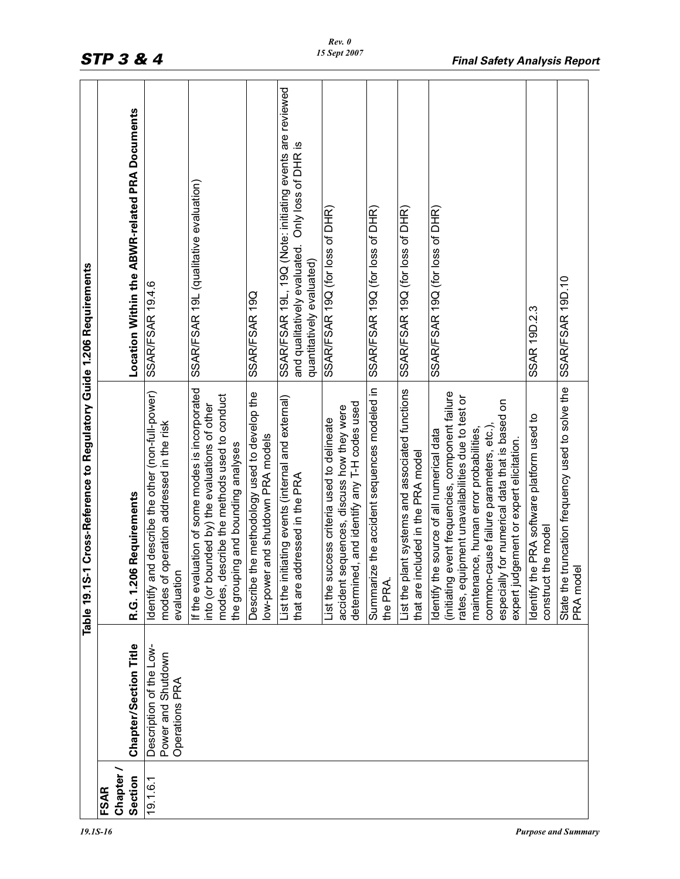|                        |                                                                 | Cross-Reference to Regulatory Guide 1.206 Requirements<br>Table 19.1S-1                                                                                                                                                                                                                                                             |                                                                                                                                           |
|------------------------|-----------------------------------------------------------------|-------------------------------------------------------------------------------------------------------------------------------------------------------------------------------------------------------------------------------------------------------------------------------------------------------------------------------------|-------------------------------------------------------------------------------------------------------------------------------------------|
|                        |                                                                 |                                                                                                                                                                                                                                                                                                                                     |                                                                                                                                           |
| Chapter<br><b>FSAR</b> |                                                                 |                                                                                                                                                                                                                                                                                                                                     |                                                                                                                                           |
| Section                | Chapter/Section Title                                           | Requirements<br>R.G. 1.206                                                                                                                                                                                                                                                                                                          | Location Within the ABWR-related PRA Documents                                                                                            |
| 19.1.6.1               | Description of the Low-<br>Power and Shutdown<br>Operations PRA | Identify and describe the other (non-full-power)<br>modes of operation addressed in the risk<br>evaluation                                                                                                                                                                                                                          | SSAR/FSAR 19.4.6                                                                                                                          |
|                        |                                                                 | If the evaluation of some modes is incorporated<br>modes, describe the methods used to conduct<br>into (or bounded by) the evaluations of other<br>the grouping and bounding analyses                                                                                                                                               | SSAR/FSAR 19L (qualitative evaluation)                                                                                                    |
|                        |                                                                 | Describe the methodology used to develop the<br>and shutdown PRA models<br>low-power                                                                                                                                                                                                                                                | SSAR/FSAR 19Q                                                                                                                             |
|                        |                                                                 | List the initiating events (internal and external)<br>that are addressed in the PRA                                                                                                                                                                                                                                                 | SSAR/FSAR 19L, 19Q (Note: initiating events are reviewed<br>and qualitatively evaluated. Only loss of DHR is<br>quantitatively evaluated) |
|                        |                                                                 | determined, and identify any T-H codes used<br>accident sequences, discuss how they were<br>List the success criteria used to delineate                                                                                                                                                                                             | SSAR/FSAR 19Q (for loss of DHR)                                                                                                           |
|                        |                                                                 | Summarize the accident sequences modeled in<br>the PRA.                                                                                                                                                                                                                                                                             | SSAR/FSAR 19Q (for loss of DHR)                                                                                                           |
|                        |                                                                 | List the plant systems and associated functions<br>that are included in the PRA model                                                                                                                                                                                                                                               | SSAR/FSAR 19Q (for loss of DHR)                                                                                                           |
|                        |                                                                 | (initiating event frequencies, component failure<br>rates, equipment unavailabilities due to test or<br>especially for numerical data that is based on<br>common-cause failure parameters, etc.)<br>Identify the source of all numerical data<br>maintenance, human error probabilities,<br>expert judgement or expert elicitation. | SSAR/FSAR 19Q (for loss of DHR)                                                                                                           |
|                        |                                                                 | Identify the PRA software platform used to<br>the model<br>construct                                                                                                                                                                                                                                                                | <b>SSAR 19D.2.3</b>                                                                                                                       |
|                        |                                                                 | State the truncation frequency used to solve the<br>PRA model                                                                                                                                                                                                                                                                       | SSAR/FSAR 19D.10                                                                                                                          |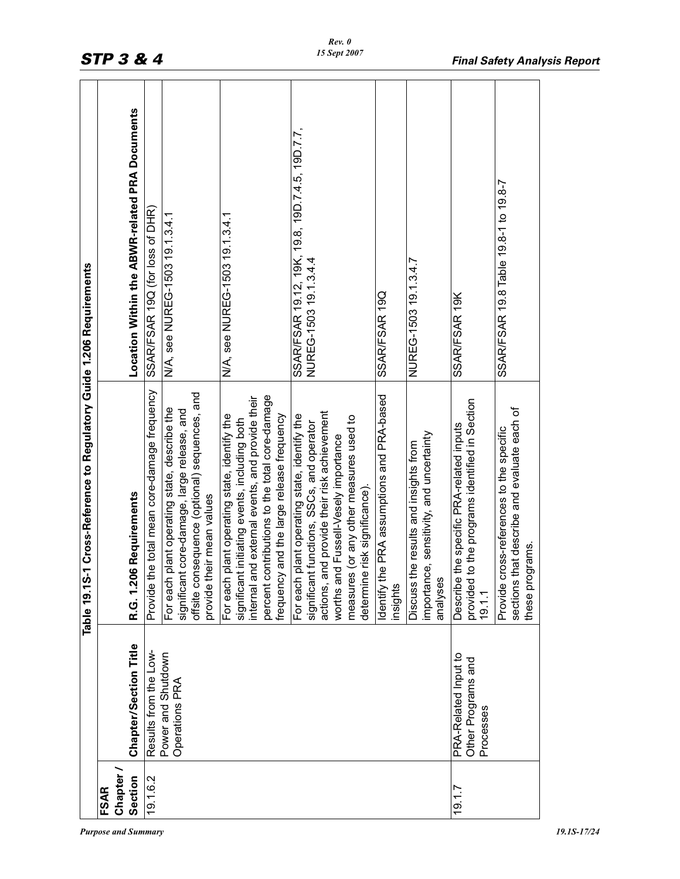| SSAR/FSAR 19.12, 19K, 19.8, 19D.7.4.5, 19D.7.7,<br>SSAR/FSAR 19.8 Table 19.8-1 to 19.8-7<br>SSAR/FSAR 19Q (for loss of DHR)<br>N/A, see NUREG-1503 19.1.3.4.1<br>N/A, see NUREG-1503 19.1.3.4.1<br>NUREG-1503 19.1.3.4.4<br>NUREG-1503 19.1.3.4.7<br>SSAR/FSAR 19Q<br>SSAR/FSAR 19K<br>e total mean core-damage frequency<br>offsite consequence (optional) sequences, and<br>e PRA assumptions and PRA-based<br>percent contributions to the total core-damage<br>internal and external events, and provide their<br>to the programs identified in Section<br>plant operating state, describe the<br>sections that describe and evaluate each of<br>core-damage, large release, and<br>actions, and provide their risk achievement<br>and the large release frequency<br>plant operating state, identify the<br>plant operating state, identify the<br>measures (or any other measures used to<br>t initiating events, including both<br>tunctions, SSCs, and operator<br>the specific PRA-related inputs<br>Provide cross-references to the specific<br>e, sensitivity, and uncertainty<br>worths and Fussell-Vesely importance<br>Discuss the results and insights from<br>determine risk significance).<br>R.G. 1.206 Requirements<br>provide their mean values<br>these programs.<br>Provide th<br>significant<br>significant<br>frequency<br>significant<br>Identify th<br>importanc<br>For each<br>For each<br>analyses<br>For each<br><b>Describe</b><br>provided<br>insights<br>19.1.1<br>Chapter/Section Title<br>Results from the Low-<br>Power and Shutdown<br>PRA-Related Input to<br>Other Programs and<br>Operations PRA<br>Processes<br>Chapter /<br>Section<br>19.1.6.2<br><b>FSAR</b><br>19.1.7 |  | 1 Cross-Reference to Regulatory Guide 1.206 Requirements<br>Table 19.1S |                                                |
|-------------------------------------------------------------------------------------------------------------------------------------------------------------------------------------------------------------------------------------------------------------------------------------------------------------------------------------------------------------------------------------------------------------------------------------------------------------------------------------------------------------------------------------------------------------------------------------------------------------------------------------------------------------------------------------------------------------------------------------------------------------------------------------------------------------------------------------------------------------------------------------------------------------------------------------------------------------------------------------------------------------------------------------------------------------------------------------------------------------------------------------------------------------------------------------------------------------------------------------------------------------------------------------------------------------------------------------------------------------------------------------------------------------------------------------------------------------------------------------------------------------------------------------------------------------------------------------------------------------------------------------------------------------------------------------------------------------------|--|-------------------------------------------------------------------------|------------------------------------------------|
|                                                                                                                                                                                                                                                                                                                                                                                                                                                                                                                                                                                                                                                                                                                                                                                                                                                                                                                                                                                                                                                                                                                                                                                                                                                                                                                                                                                                                                                                                                                                                                                                                                                                                                                   |  |                                                                         |                                                |
|                                                                                                                                                                                                                                                                                                                                                                                                                                                                                                                                                                                                                                                                                                                                                                                                                                                                                                                                                                                                                                                                                                                                                                                                                                                                                                                                                                                                                                                                                                                                                                                                                                                                                                                   |  |                                                                         | Location Within the ABWR-related PRA Documents |
|                                                                                                                                                                                                                                                                                                                                                                                                                                                                                                                                                                                                                                                                                                                                                                                                                                                                                                                                                                                                                                                                                                                                                                                                                                                                                                                                                                                                                                                                                                                                                                                                                                                                                                                   |  |                                                                         |                                                |
|                                                                                                                                                                                                                                                                                                                                                                                                                                                                                                                                                                                                                                                                                                                                                                                                                                                                                                                                                                                                                                                                                                                                                                                                                                                                                                                                                                                                                                                                                                                                                                                                                                                                                                                   |  |                                                                         |                                                |
|                                                                                                                                                                                                                                                                                                                                                                                                                                                                                                                                                                                                                                                                                                                                                                                                                                                                                                                                                                                                                                                                                                                                                                                                                                                                                                                                                                                                                                                                                                                                                                                                                                                                                                                   |  |                                                                         |                                                |
|                                                                                                                                                                                                                                                                                                                                                                                                                                                                                                                                                                                                                                                                                                                                                                                                                                                                                                                                                                                                                                                                                                                                                                                                                                                                                                                                                                                                                                                                                                                                                                                                                                                                                                                   |  |                                                                         |                                                |
|                                                                                                                                                                                                                                                                                                                                                                                                                                                                                                                                                                                                                                                                                                                                                                                                                                                                                                                                                                                                                                                                                                                                                                                                                                                                                                                                                                                                                                                                                                                                                                                                                                                                                                                   |  |                                                                         |                                                |
|                                                                                                                                                                                                                                                                                                                                                                                                                                                                                                                                                                                                                                                                                                                                                                                                                                                                                                                                                                                                                                                                                                                                                                                                                                                                                                                                                                                                                                                                                                                                                                                                                                                                                                                   |  |                                                                         |                                                |
|                                                                                                                                                                                                                                                                                                                                                                                                                                                                                                                                                                                                                                                                                                                                                                                                                                                                                                                                                                                                                                                                                                                                                                                                                                                                                                                                                                                                                                                                                                                                                                                                                                                                                                                   |  |                                                                         |                                                |
|                                                                                                                                                                                                                                                                                                                                                                                                                                                                                                                                                                                                                                                                                                                                                                                                                                                                                                                                                                                                                                                                                                                                                                                                                                                                                                                                                                                                                                                                                                                                                                                                                                                                                                                   |  |                                                                         |                                                |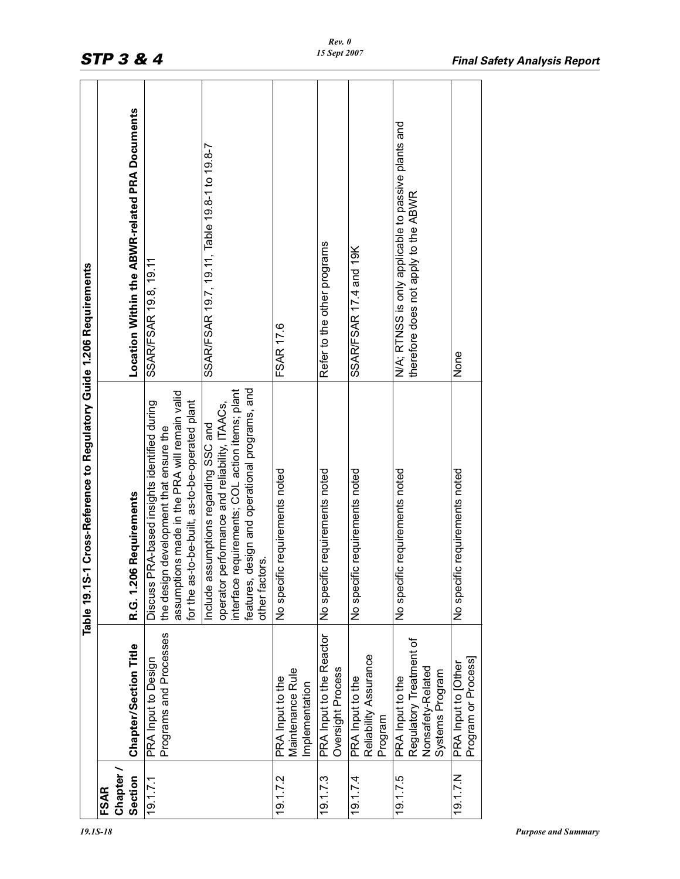|                     |                                                                                     | Table 19.1S-1 Cross-Reference to Regulatory Guide 1.206 Requirements                                                                                                                                                        |                                                                                             |
|---------------------|-------------------------------------------------------------------------------------|-----------------------------------------------------------------------------------------------------------------------------------------------------------------------------------------------------------------------------|---------------------------------------------------------------------------------------------|
| <b>FSAR</b>         |                                                                                     |                                                                                                                                                                                                                             |                                                                                             |
| Chapter.<br>Section | Chapter/Section Title                                                               | R.G. 1.206 Requirements                                                                                                                                                                                                     | Location Within the ABWR-related PRA Documents                                              |
| 19.1.7.1            | Programs and Processes<br>PRA Input to Design                                       | assumptions made in the PRA will remain valid<br>for the as-to-be-built, as-to-be-operated plant<br>Discuss PRA-based insights identified during<br>the design development that ensure the                                  | SSAR/FSAR 19.8, 19.11                                                                       |
|                     |                                                                                     | design and operational programs, and<br>requirements; COL action items; plant<br>performance and reliability, ITAACs,<br>ssumptions regarding SSC and<br>other factors.<br>Include as<br>interface<br>features,<br>operator | SSAR/FSAR 19.7, 19.11, Table 19.8-1 to 19.8-7                                               |
| 19.1.7.2            | Maintenance Rule<br>PRA Input to the<br>Implementation                              | No specific requirements noted                                                                                                                                                                                              | <b>FSAR 17.6</b>                                                                            |
| 19.1.7.3            | PRA Input to the Reactor<br>Oversight Process                                       | c requirements noted<br>No specifi                                                                                                                                                                                          | Refer to the other programs                                                                 |
| 19.1.74             | Reliability Assurance<br>PRA Input to the<br>Program                                | c requirements noted<br>No specifi                                                                                                                                                                                          | SSAR/FSAR 17.4 and 19K                                                                      |
| 19.1.7.5            | Regulatory Treatment of<br>Nonsafety-Related<br>Systems Program<br>PRA Input to the | ic requirements noted<br>No specifi                                                                                                                                                                                         | N/A; RTNSS is only applicable to passive plants and<br>therefore does not apply to the ABWR |
| 19.1.7.N            | Program or Process]<br>PRA Input to [Other                                          | c requirements noted<br>No specifi                                                                                                                                                                                          | None                                                                                        |
|                     |                                                                                     |                                                                                                                                                                                                                             |                                                                                             |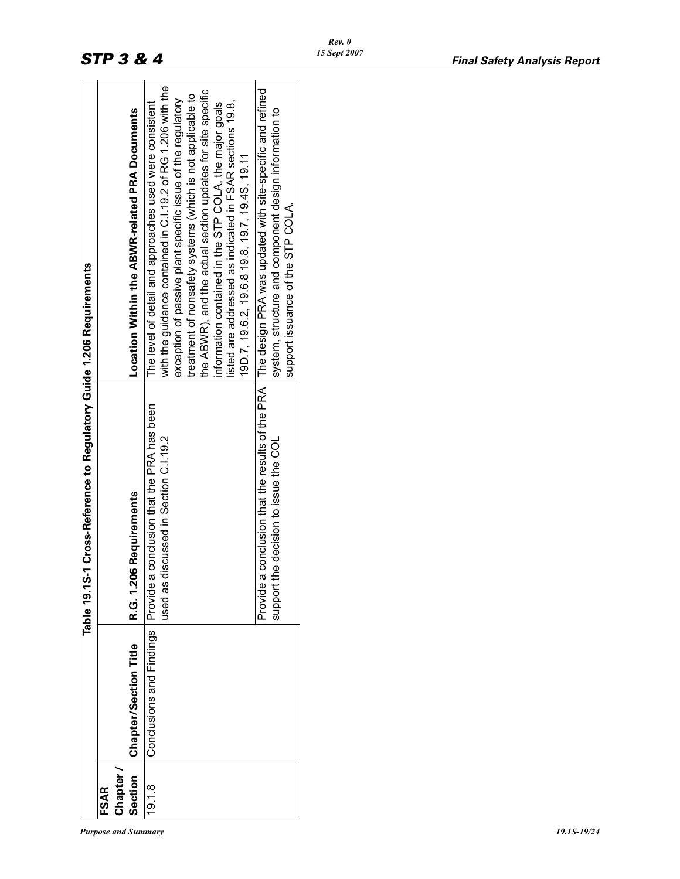|                            |                       | Table 19.1S-1 Cross-Reference to Regulatory Guide 1.206 Requirements                                           |                                                                                                                                                                                                                                                                                                                                                                                                                                                                                             |
|----------------------------|-----------------------|----------------------------------------------------------------------------------------------------------------|---------------------------------------------------------------------------------------------------------------------------------------------------------------------------------------------------------------------------------------------------------------------------------------------------------------------------------------------------------------------------------------------------------------------------------------------------------------------------------------------|
| Section<br>Chapter<br>FSAR | Chapter/Section Title | R.G. 1.206 Requirements                                                                                        | Location Within the ABWR-related PRA Documents                                                                                                                                                                                                                                                                                                                                                                                                                                              |
| 19.18                      |                       | Conclusions and Findings   Provide a conclusion that the PRA has been<br>used as discussed in Section C.I.19.2 | with the guidance contained in C.I.19.2 of RG 1.206 with the<br>the ABWR), and the actual section updates for site specific<br>treatment of nonsafety systems (which is not applicable to<br>exception of passive plant specific issue of the regulatory<br>listed are addressed as indicated in FSAR sections 19.8,<br>The level of detail and approaches used were consistent<br>information contained in the STP COLA, the major goals<br>19D.7, 19.6.2, 19.6.8 19.8, 19.7, 19.4S, 19.11 |
|                            |                       | Provide a conclusion that the results of the PRA<br>e decision to issue the COL<br>support th                  | The design PRA was updated with site-specific and refined<br>system, structure and component design information to<br>support issuance of the STP COLA.                                                                                                                                                                                                                                                                                                                                     |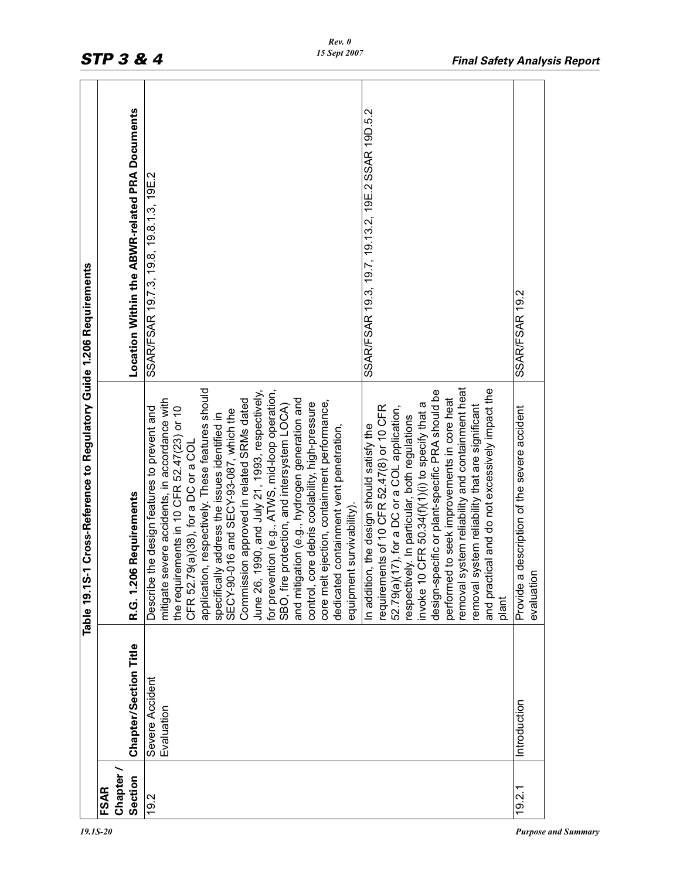|                                     |                               | 1 Cross-Reference to Regulatory Guide 1.206 Requirements<br>Table 19.1S-                                                                                                                                                                                                                                                                                                                                                                                                                                                                                                                                                                                                                                                                                                                                                                                                                                                                                                                                                                                                                                                                                                                                                                                                                                        |                                                                                              |
|-------------------------------------|-------------------------------|-----------------------------------------------------------------------------------------------------------------------------------------------------------------------------------------------------------------------------------------------------------------------------------------------------------------------------------------------------------------------------------------------------------------------------------------------------------------------------------------------------------------------------------------------------------------------------------------------------------------------------------------------------------------------------------------------------------------------------------------------------------------------------------------------------------------------------------------------------------------------------------------------------------------------------------------------------------------------------------------------------------------------------------------------------------------------------------------------------------------------------------------------------------------------------------------------------------------------------------------------------------------------------------------------------------------|----------------------------------------------------------------------------------------------|
| Chapter /<br>Section<br><b>FSAR</b> | <b>Chapter/Section Title</b>  | <b>6 Requirements</b><br>R.G. 1.20                                                                                                                                                                                                                                                                                                                                                                                                                                                                                                                                                                                                                                                                                                                                                                                                                                                                                                                                                                                                                                                                                                                                                                                                                                                                              | Location Within the ABWR-related PRA Documents                                               |
| 19.2                                | Severe Accident<br>Evaluation | removal system reliability and containment heat<br>and practical and do not excessively impact the<br>application, respectively. These features should<br>design-specific or plant-specific PRA should be<br>for prevention (e.g., ATWS, mid-loop operation,<br>SBO, fire protection, and intersystem LOCA)<br>1990, and July 21, 1993, respectively,<br>performed to seek improvements in core heat<br>and mitigation (e.g., hydrogen generation and<br>mitigate severe accidents, in accordance with<br>Commission approved in related SRMs dated<br>core melt ejection, containment performance,<br>control, core debris coolability, high-pressure<br>CFR 50.34(f)(1)(1) to specify that a<br>removal system reliability that are significant<br>requirements of 10 CFR 52.47(8) or 10 CFR<br>the requirements in 10 CFR 52.47(23) or 10<br>52.79(a)(17), for a DC or a COL application,<br>the design features to prevent and<br>SECY-90-016 and SECY-93-087, which the<br>y address the issues identified in<br>respectively. In particular, both regulations<br>n, the design should satisfy the<br>dedicated containment vent penetration,<br>CFR 52.79(a)(38), for a DC or a COL<br>equipment survivability).<br>specificall <sup>®</sup><br>In addition<br>invoke 10<br>June 26,<br>Describe<br>plant | SSAR/FSAR 19.3, 19.7, 19.13.2, 19E.2 SSAR 19D.5.2<br>SSAR/FSAR 19.7.3, 19.8, 19.8.1.3, 19E.2 |
| 19.2.1                              | Introduction                  | description of the severe accident<br>evaluatior<br>Provide a                                                                                                                                                                                                                                                                                                                                                                                                                                                                                                                                                                                                                                                                                                                                                                                                                                                                                                                                                                                                                                                                                                                                                                                                                                                   | SSAR/FSAR 19.2                                                                               |
|                                     |                               |                                                                                                                                                                                                                                                                                                                                                                                                                                                                                                                                                                                                                                                                                                                                                                                                                                                                                                                                                                                                                                                                                                                                                                                                                                                                                                                 |                                                                                              |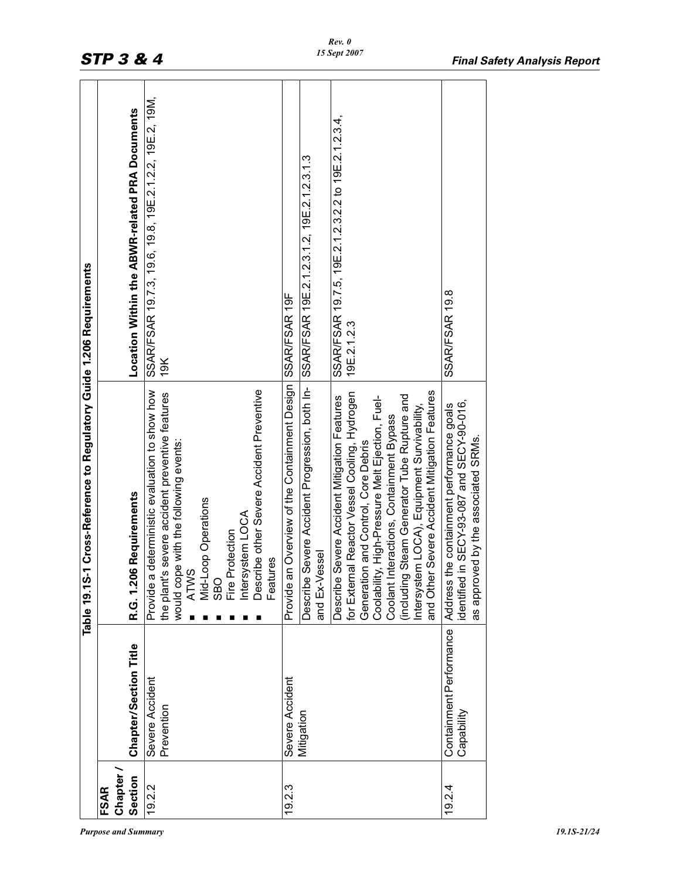|                               |                                       | Table 19.1S-1 Cross-Reference to Regulatory Guide 1.206 Requirements                                                                                                                                                                                                                                                                                                                                                                                        |                                                                                                                                   |
|-------------------------------|---------------------------------------|-------------------------------------------------------------------------------------------------------------------------------------------------------------------------------------------------------------------------------------------------------------------------------------------------------------------------------------------------------------------------------------------------------------------------------------------------------------|-----------------------------------------------------------------------------------------------------------------------------------|
| <b>Chapter</b><br><b>FSAR</b> |                                       |                                                                                                                                                                                                                                                                                                                                                                                                                                                             |                                                                                                                                   |
| Section                       | Chapter/Section Title                 | R.G. 1.206 Requirements                                                                                                                                                                                                                                                                                                                                                                                                                                     | Location Within the ABWR-related PRA Documents                                                                                    |
| 19.2.2                        | Severe Accident<br>Prevention         | Describe other Severe Accident Preventive<br>deterministic evaluation to show how<br>the plant's severe accident preventive features<br>would cope with the following events:<br>ATWS<br>Mid-Loop Operations<br>SBO<br>Fire Protection<br>Intersystem LOCA<br>Features<br>Provide a                                                                                                                                                                         | SSAR/FSAR 19.7.3, 19.6, 19.8, 19E.2.1.2.2, 19E.2, 19M,<br>19K                                                                     |
| 19.2.3                        | Severe Accident<br>Mitigation         | Provide an Overview of the Containment Design<br>Severe Accident Progression, both In-<br>for External Reactor Vessel Cooling, Hydrogen<br>Coolability, High-Pressure Melt Ejection, Fuel-<br>(including Steam Generator Tube Rupture and<br>Severe Accident Mitigation Features<br>Intersystem LOCA), Equipment Survivability,<br>Coolant Interactions, Containment Bypass<br>Generation and Control, Core Debris<br>and Ex-Vessel<br>Describe<br>Describe | SSAR/FSAR 19.7.5, 19E.2.1.2.3.2.2 to 19E.2.1.2.3.4,<br>SSAR/FSAR 19E.2.1.2.3.1.2, 19E.2.1.2.3.1.3<br>SSAR/FSAR 19F<br>19E.2.1.2.3 |
| 19.2.4                        | Containment Performance<br>Capability | and Other Severe Accident Mitigation Features<br>in SECY-93-087 and SECY-90-016,<br>the containment performance goals<br>as approved by the associated SRMs<br>dentified<br>Address                                                                                                                                                                                                                                                                         | <b>SSAR/FSAR 19.8</b>                                                                                                             |
|                               |                                       |                                                                                                                                                                                                                                                                                                                                                                                                                                                             |                                                                                                                                   |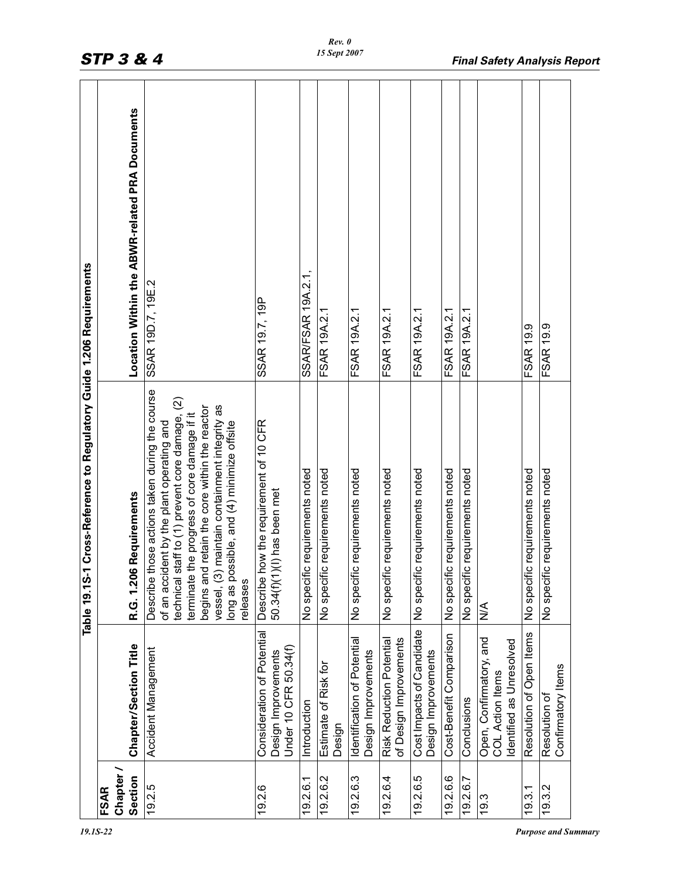|                   |                                                                                | Cross-Reference to Regulatory Guide 1.206 Requirements<br>Table 19.1S-1                                                                                                                                                                                                                                                                                      |                                                |
|-------------------|--------------------------------------------------------------------------------|--------------------------------------------------------------------------------------------------------------------------------------------------------------------------------------------------------------------------------------------------------------------------------------------------------------------------------------------------------------|------------------------------------------------|
| Chapter /<br>FSAR |                                                                                |                                                                                                                                                                                                                                                                                                                                                              |                                                |
| Section           | Chapter/Section Title                                                          | Requirements<br>R.G. 1.206                                                                                                                                                                                                                                                                                                                                   | Location Within the ABWR-related PRA Documents |
| 19.2.5            | Accident Management                                                            | Describe those actions taken during the course<br>technical staff to (1) prevent core damage, (2)<br>maintain containment integrity as<br>begins and retain the core within the reactor<br>terminate the progress of core damage if it<br>long as possible, and (4) minimize offsite<br>of an accident by the plant operating and<br>vessel, (3)<br>releases | SSAR 19D.7, 19E.2                              |
| 19.2.6            | Consideration of Potential<br>Under 10 CFR 50.34(f)<br>Design Improvements     | Describe how the requirement of 10 CFR<br>50.34(f)(1)(l) has been met                                                                                                                                                                                                                                                                                        | SSAR 19.7, 19P                                 |
| 19.2.6.1          | Introduction                                                                   | requirements noted<br>No specific                                                                                                                                                                                                                                                                                                                            | SSAR/FSAR 19A.2.1,                             |
| 19.2.6.2          | Estimate of Risk for<br>Design                                                 | requirements noted<br>No specific                                                                                                                                                                                                                                                                                                                            | FSAR 19A.2.1                                   |
| 19.2.6.3          | Identification of Potential<br>Design Improvements                             | requirements noted<br>No specific                                                                                                                                                                                                                                                                                                                            | FSAR 19A.2.1                                   |
| 19.2.6.4          | of Design Improvements<br><b>Risk Reduction Potential</b>                      | requirements noted<br>No specific                                                                                                                                                                                                                                                                                                                            | FSAR 19A.2.1                                   |
| 19.2.6.5          | Cost Impacts of Candidate<br>Design Improvements                               | requirements noted<br>No specific                                                                                                                                                                                                                                                                                                                            | FSAR 19A.2.1                                   |
| 19.2.6.6          | Cost-Benefit Comparison                                                        | requirements noted<br>No specific                                                                                                                                                                                                                                                                                                                            | FSAR 19A.2.1                                   |
| 19.2.6.7          | Conclusions                                                                    | requirements noted<br>No specific                                                                                                                                                                                                                                                                                                                            | FSAR 19A.2.1                                   |
| 19.3              | Open, Confirmatory, and<br>Identified as Unresolved<br><b>COL Action Items</b> | $\frac{4}{2}$                                                                                                                                                                                                                                                                                                                                                |                                                |
| 19.3.1            | Resolution of Open Items                                                       | requirements noted<br>No specific                                                                                                                                                                                                                                                                                                                            | <b>FSAR 19.9</b>                               |
| 19.3.2            | Confirmatory Items<br>Resolution of                                            | requirements noted<br>No specific                                                                                                                                                                                                                                                                                                                            | FSAR 19.9                                      |
|                   |                                                                                |                                                                                                                                                                                                                                                                                                                                                              |                                                |